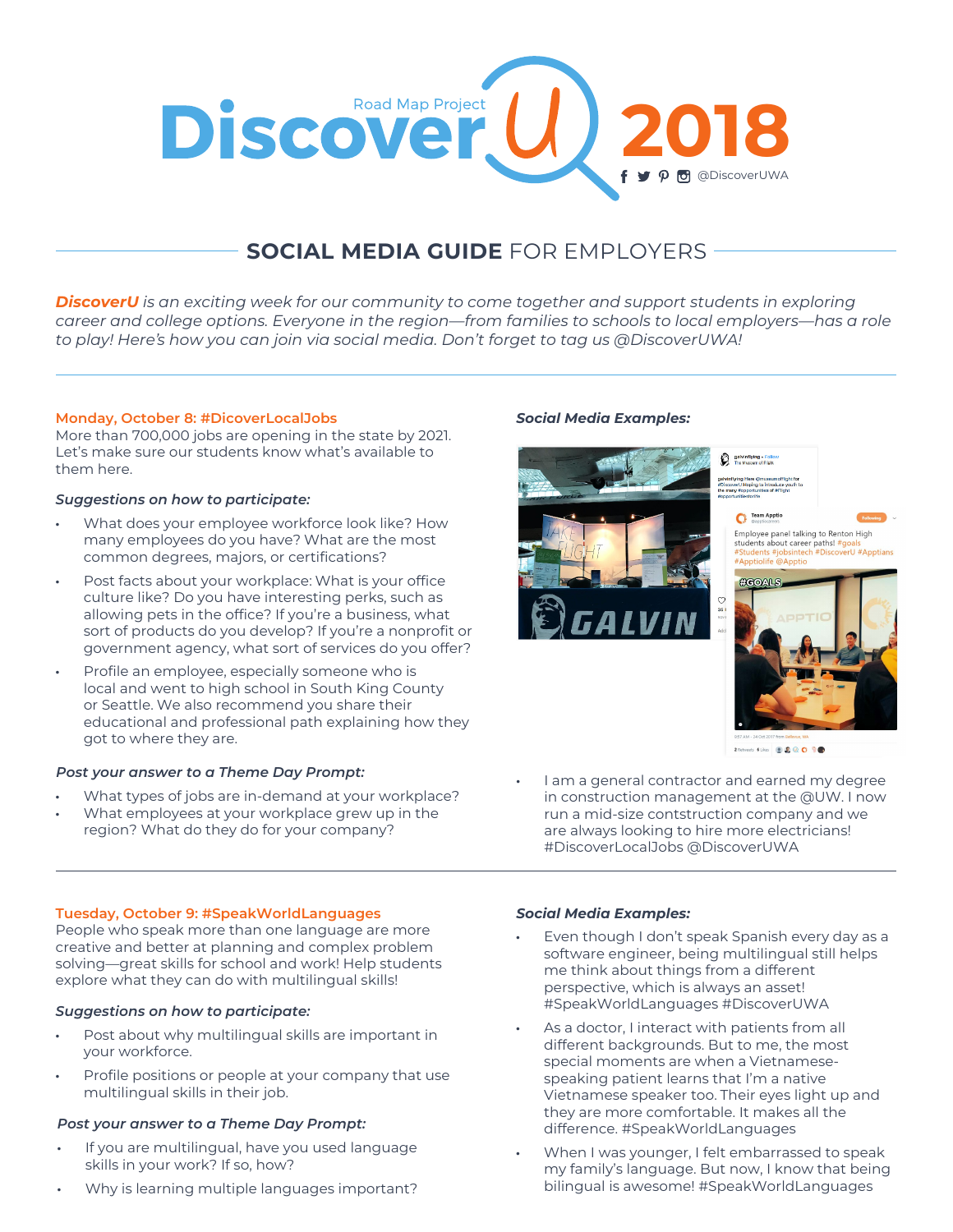

# **SOCIAL MEDIA GUIDE** FOR EMPLOYERS

*DiscoverU is an exciting week for our community to come together and support students in exploring career and college options. Everyone in the region—from families to schools to local employers—has a role to play! Here's how you can join via social media. Don't forget to tag us @DiscoverUWA!*

# **Monday, October 8: #DicoverLocalJobs**

More than 700,000 jobs are opening in the state by 2021. Let's make sure our students know what's available to them here.

## *Suggestions on how to participate:*

- What does your employee workforce look like? How many employees do you have? What are the most common degrees, majors, or certifications?
- Post facts about your workplace: What is your office culture like? Do you have interesting perks, such as allowing pets in the office? If you're a business, what sort of products do you develop? If you're a nonprofit or government agency, what sort of services do you offer?
- Profile an employee, especially someone who is local and went to high school in South King County or Seattle. We also recommend you share their educational and professional path explaining how they got to where they are.

# *Post your answer to a Theme Day Prompt:*

- What types of jobs are in-demand at your workplace?
- What employees at your workplace grew up in the region? What do they do for your company?

# *Social Media Examples:*



I am a general contractor and earned my degree in construction management at the @UW. I now run a mid-size contstruction company and we are always looking to hire more electricians! #DiscoverLocalJobs @DiscoverUWA

## **Tuesday, October 9: #SpeakWorldLanguages**

People who speak more than one language are more creative and better at planning and complex problem solving—great skills for school and work! Help students explore what they can do with multilingual skills!

## *Suggestions on how to participate:*

- Post about why multilingual skills are important in your workforce.
- Profile positions or people at your company that use multilingual skills in their job.

## *Post your answer to a Theme Day Prompt:*

- If you are multilingual, have you used language skills in your work? If so, how?
- Why is learning multiple languages important?

# *Social Media Examples:*

- Even though I don't speak Spanish every day as a software engineer, being multilingual still helps me think about things from a different perspective, which is always an asset! #SpeakWorldLanguages #DiscoverUWA
- As a doctor, I interact with patients from all different backgrounds. But to me, the most special moments are when a Vietnamesespeaking patient learns that I'm a native Vietnamese speaker too. Their eyes light up and they are more comfortable. It makes all the difference. #SpeakWorldLanguages
- When I was younger, I felt embarrassed to speak my family's language. But now, I know that being bilingual is awesome! #SpeakWorldLanguages